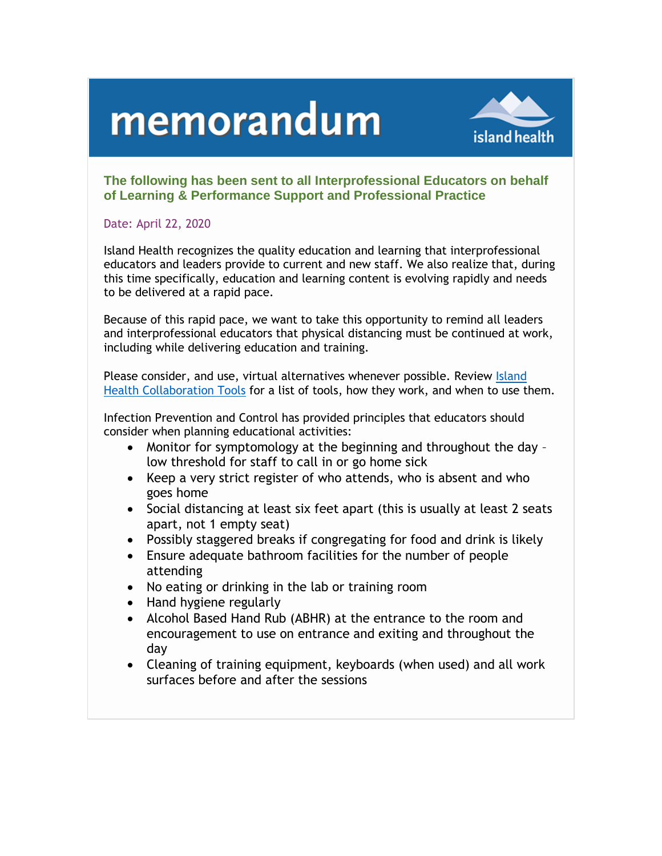## memorandum



## **The following has been sent to all Interprofessional Educators on behalf of Learning & Performance Support and Professional Practice**

## Date: April 22, 2020

Island Health recognizes the quality education and learning that interprofessional educators and leaders provide to current and new staff. We also realize that, during this time specifically, education and learning content is evolving rapidly and needs to be delivered at a rapid pace.

Because of this rapid pace, we want to take this opportunity to remind all leaders and interprofessional educators that physical distancing must be continued at work, including while delivering education and training.

Please consider, and use, virtual alternatives whenever possible. Review [Island](https://intranet.viha.ca/departments/imit/servicedesk/online_help/office/Documents/collaboration_tools.pdf)  [Health Collaboration Tools](https://intranet.viha.ca/departments/imit/servicedesk/online_help/office/Documents/collaboration_tools.pdf) for a list of tools, how they work, and when to use them.

Infection Prevention and Control has provided principles that educators should consider when planning educational activities:

- Monitor for symptomology at the beginning and throughout the day low threshold for staff to call in or go home sick
- Keep a very strict register of who attends, who is absent and who goes home
- Social distancing at least six feet apart (this is usually at least 2 seats apart, not 1 empty seat)
- Possibly staggered breaks if congregating for food and drink is likely
- Ensure adequate bathroom facilities for the number of people attending
- No eating or drinking in the lab or training room
- Hand hygiene regularly
- Alcohol Based Hand Rub (ABHR) at the entrance to the room and encouragement to use on entrance and exiting and throughout the day
- Cleaning of training equipment, keyboards (when used) and all work surfaces before and after the sessions